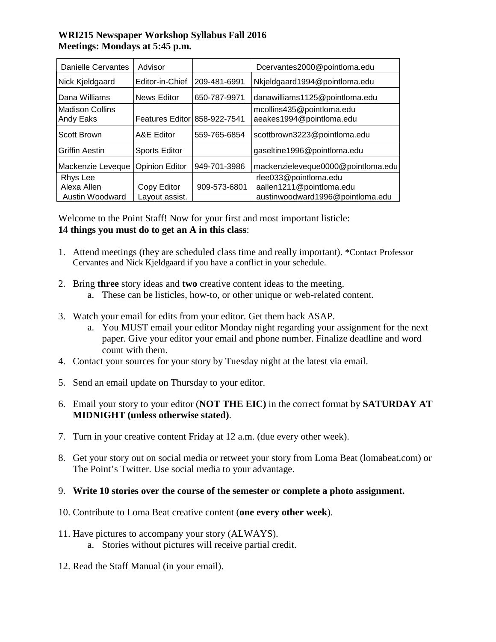## **WRI215 Newspaper Workshop Syllabus Fall 2016 Meetings: Mondays at 5:45 p.m.**

| <b>Danielle Cervantes</b>           | Advisor                      |              | Dcervantes2000@pointloma.edu                          |
|-------------------------------------|------------------------------|--------------|-------------------------------------------------------|
| Nick Kjeldgaard                     | Editor-in-Chief              | 209-481-6991 | Nkjeldgaard1994@pointloma.edu                         |
| Dana Williams                       | <b>News Editor</b>           | 650-787-9971 | danawilliams1125@pointloma.edu                        |
| <b>Madison Collins</b><br>Andy Eaks | Features Editor 858-922-7541 |              | mcollins435@pointloma.edu<br>aeakes1994@pointloma.edu |
| Scott Brown                         | A&E Editor                   | 559-765-6854 | scottbrown3223@pointloma.edu                          |
| <b>Griffin Aestin</b>               | <b>Sports Editor</b>         |              | gaseltine1996@pointloma.edu                           |
| Mackenzie Leveque                   | <b>Opinion Editor</b>        | 949-701-3986 | mackenzieleveque0000@pointloma.edu                    |
| Rhys Lee                            |                              |              | rlee033@pointloma.edu                                 |
| Alexa Allen                         | Copy Editor                  | 909-573-6801 | aallen1211@pointloma.edu                              |
| Austin Woodward                     | Layout assist.               |              | austinwoodward1996@pointloma.edu                      |

Welcome to the Point Staff! Now for your first and most important listicle: **14 things you must do to get an A in this class**:

- 1. Attend meetings (they are scheduled class time and really important). \*Contact Professor Cervantes and Nick Kjeldgaard if you have a conflict in your schedule.
- 2. Bring **three** story ideas and **two** creative content ideas to the meeting.
	- a. These can be listicles, how-to, or other unique or web-related content.
- 3. Watch your email for edits from your editor. Get them back ASAP.
	- a. You MUST email your editor Monday night regarding your assignment for the next paper. Give your editor your email and phone number. Finalize deadline and word count with them.
- 4. Contact your sources for your story by Tuesday night at the latest via email.
- 5. Send an email update on Thursday to your editor.
- 6. Email your story to your editor (**NOT THE EIC)** in the correct format by **SATURDAY AT MIDNIGHT (unless otherwise stated)**.
- 7. Turn in your creative content Friday at 12 a.m. (due every other week).
- 8. Get your story out on social media or retweet your story from Loma Beat (lomabeat.com) or The Point's Twitter. Use social media to your advantage.

## 9. **Write 10 stories over the course of the semester or complete a photo assignment.**

- 10. Contribute to Loma Beat creative content (**one every other week**).
- 11. Have pictures to accompany your story (ALWAYS).
	- a. Stories without pictures will receive partial credit.
- 12. Read the Staff Manual (in your email).